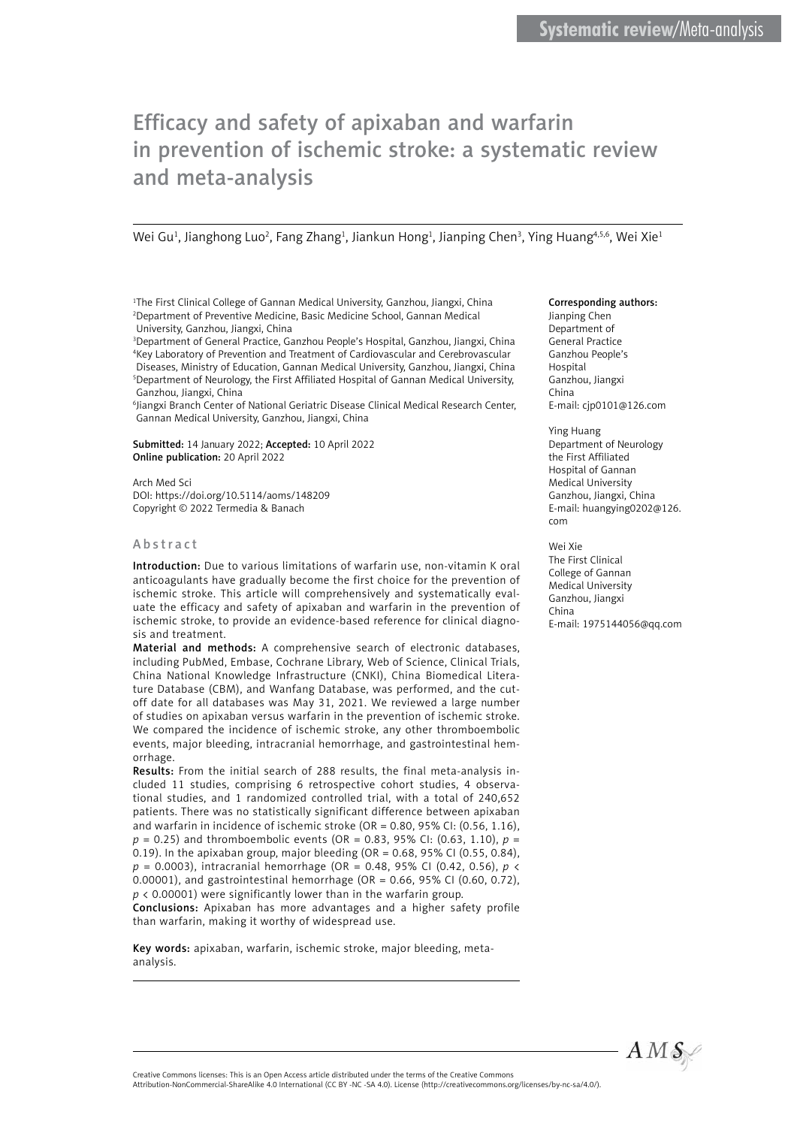# Efficacy and safety of apixaban and warfarin in prevention of ischemic stroke: a systematic review and meta-analysis

Wei Gu<sup>1</sup>, Jianghong Luo<sup>2</sup>, Fang Zhang<sup>1</sup>, Jiankun Hong<sup>1</sup>, Jianping Chen<sup>3</sup>, Ying Huang<sup>4,5,6</sup>, Wei Xie<sup>1</sup>

<sup>1</sup>The First Clinical College of Gannan Medical University, Ganzhou, Jiangxi, China 2 Department of Preventive Medicine, Basic Medicine School, Gannan Medical University, Ganzhou, Jiangxi, China

3 Department of General Practice, Ganzhou People's Hospital, Ganzhou, Jiangxi, China 4 Key Laboratory of Prevention and Treatment of Cardiovascular and Cerebrovascular Diseases, Ministry of Education, Gannan Medical University, Ganzhou, Jiangxi, China 5 Department of Neurology, the First Affiliated Hospital of Gannan Medical University, Ganzhou, Jiangxi, China

6 Jiangxi Branch Center of National Geriatric Disease Clinical Medical Research Center, Gannan Medical University, Ganzhou, Jiangxi, China

Submitted: 14 January 2022; Accepted: 10 April 2022 Online publication: 20 April 2022

Arch Med Sci DOI: https://doi.org/10.5114/aoms/148209 Copyright © 2022 Termedia & Banach

#### Abstract

Introduction: Due to various limitations of warfarin use, non-vitamin K oral anticoagulants have gradually become the first choice for the prevention of ischemic stroke. This article will comprehensively and systematically evaluate the efficacy and safety of apixaban and warfarin in the prevention of ischemic stroke, to provide an evidence-based reference for clinical diagnosis and treatment.

Material and methods: A comprehensive search of electronic databases, including PubMed, Embase, Cochrane Library, Web of Science, Clinical Trials, China National Knowledge Infrastructure (CNKI), China Biomedical Literature Database (CBM), and Wanfang Database, was performed, and the cutoff date for all databases was May 31, 2021. We reviewed a large number of studies on apixaban versus warfarin in the prevention of ischemic stroke. We compared the incidence of ischemic stroke, any other thromboembolic events, major bleeding, intracranial hemorrhage, and gastrointestinal hemorrhage.

Results: From the initial search of 288 results, the final meta-analysis included 11 studies, comprising 6 retrospective cohort studies, 4 observational studies, and 1 randomized controlled trial, with a total of 240,652 patients. There was no statistically significant difference between apixaban and warfarin in incidence of ischemic stroke (OR = 0.80, 95% CI: (0.56, 1.16), *p* = 0.25) and thromboembolic events (OR = 0.83, 95% CI: (0.63, 1.10), *p* = 0.19). In the apixaban group, major bleeding (OR = 0.68, 95% CI (0.55, 0.84), *p* = 0.0003), intracranial hemorrhage (OR = 0.48, 95% CI (0.42, 0.56), *p* < 0.00001), and gastrointestinal hemorrhage (OR = 0.66, 95% CI (0.60, 0.72),  $p$  < 0.00001) were significantly lower than in the warfarin group.

Conclusions: Apixaban has more advantages and a higher safety profile than warfarin, making it worthy of widespread use.

Key words: apixaban, warfarin, ischemic stroke, major bleeding, metaanalysis.

#### Corresponding authors:

Jianping Chen Department of General Practice Ganzhou People's Hospital Ganzhou, Jiangxi China E-mail: [cjp0101@126.com](mailto:cjp0101@126.com)

Ying Huang Department of Neurology the First Affiliated Hospital of Gannan Medical University Ganzhou, Jiangxi, China E-mail: [huangying0202@126.](mailto:huangying0202@126.com) [com](mailto:huangying0202@126.com)

Wei Xie

The First Clinical College of Gannan Medical University Ganzhou, Jiangxi China E-mail: [1975144056@qq.com](mailto:1975144056@qq.com)



Creative Commons licenses: This is an Open Access article distributed under the terms of the Creative Commons Attribution-NonCommercial-ShareAlike 4.0 International (CC BY -NC -SA 4.0). License (http://creativecommons.org/licenses/by-nc-sa/4.0/).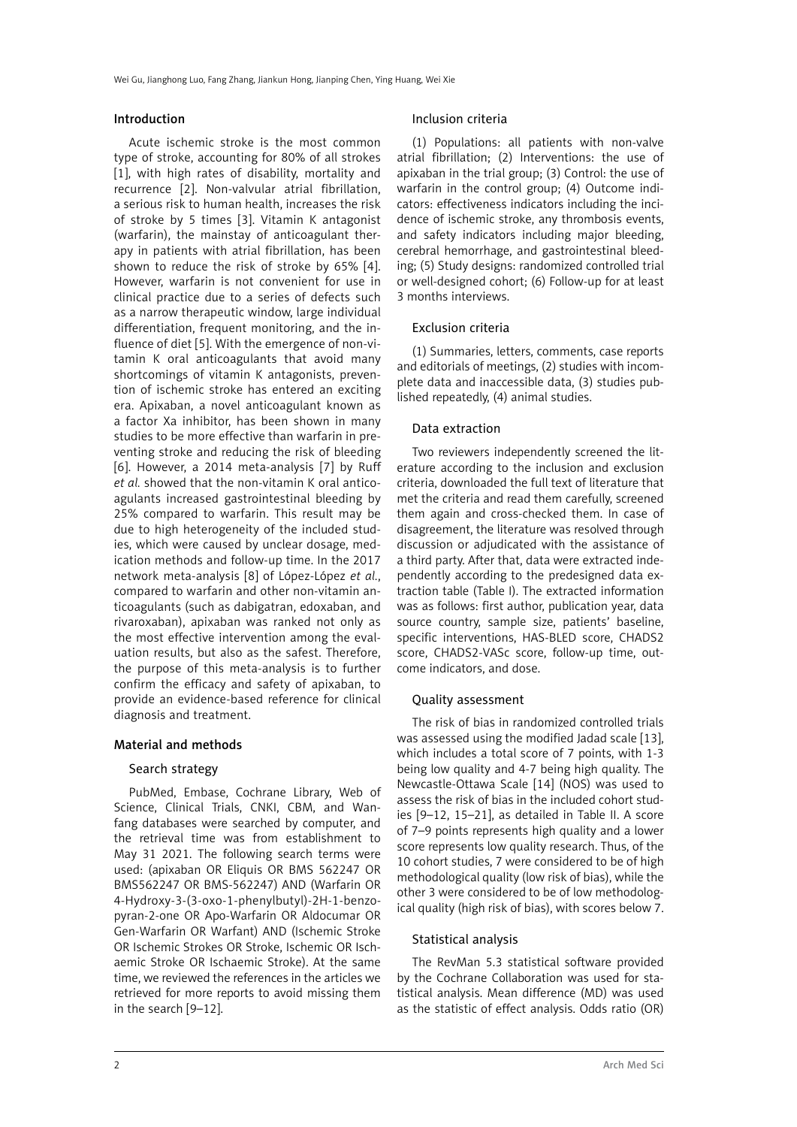Wei Gu, Jianghong Luo, Fang Zhang, Jiankun Hong, Jianping Chen, Ying Huang, Wei Xie

# Introduction

Acute ischemic stroke is the most common type of stroke, accounting for 80% of all strokes [1], with high rates of disability, mortality and recurrence [2]. Non-valvular atrial fibrillation, a serious risk to human health, increases the risk of stroke by 5 times [3]. Vitamin K antagonist (warfarin), the mainstay of anticoagulant therapy in patients with atrial fibrillation, has been shown to reduce the risk of stroke by 65% [4]. However, warfarin is not convenient for use in clinical practice due to a series of defects such as a narrow therapeutic window, large individual differentiation, frequent monitoring, and the influence of diet [5]. With the emergence of non-vitamin K oral anticoagulants that avoid many shortcomings of vitamin K antagonists, prevention of ischemic stroke has entered an exciting era. Apixaban, a novel anticoagulant known as a factor Xa inhibitor, has been shown in many studies to be more effective than warfarin in preventing stroke and reducing the risk of bleeding [6]. However, a 2014 meta-analysis [7] by Ruff *et al.* showed that the non-vitamin K oral anticoagulants increased gastrointestinal bleeding by 25% compared to warfarin. This result may be due to high heterogeneity of the included studies, which were caused by unclear dosage, medication methods and follow-up time. In the 2017 network meta-analysis [8] of López-López *et al.*, compared to warfarin and other non-vitamin anticoagulants (such as dabigatran, edoxaban, and rivaroxaban), apixaban was ranked not only as the most effective intervention among the evaluation results, but also as the safest. Therefore, the purpose of this meta-analysis is to further confirm the efficacy and safety of apixaban, to provide an evidence-based reference for clinical diagnosis and treatment.

# Material and methods

# Search strategy

PubMed, Embase, Cochrane Library, Web of Science, Clinical Trials, CNKI, CBM, and Wanfang databases were searched by computer, and the retrieval time was from establishment to May 31 2021. The following search terms were used: (apixaban OR Eliquis OR BMS 562247 OR BMS562247 OR BMS-562247) AND (Warfarin OR 4-Hydroxy-3-(3-oxo-1-phenylbutyl)-2H-1-benzopyran-2-one OR Apo-Warfarin OR Aldocumar OR Gen-Warfarin OR Warfant) AND (Ischemic Stroke OR Ischemic Strokes OR Stroke, Ischemic OR Ischaemic Stroke OR Ischaemic Stroke). At the same time, we reviewed the references in the articles we retrieved for more reports to avoid missing them in the search [9–12].

## Inclusion criteria

(1) Populations: all patients with non-valve atrial fibrillation; (2) Interventions: the use of apixaban in the trial group; (3) Control: the use of warfarin in the control group; (4) Outcome indicators: effectiveness indicators including the incidence of ischemic stroke, any thrombosis events, and safety indicators including major bleeding, cerebral hemorrhage, and gastrointestinal bleeding; (5) Study designs: randomized controlled trial or well-designed cohort; (6) Follow-up for at least 3 months interviews.

## Exclusion criteria

(1) Summaries, letters, comments, case reports and editorials of meetings, (2) studies with incomplete data and inaccessible data, (3) studies published repeatedly, (4) animal studies.

# Data extraction

Two reviewers independently screened the literature according to the inclusion and exclusion criteria, downloaded the full text of literature that met the criteria and read them carefully, screened them again and cross-checked them. In case of disagreement, the literature was resolved through discussion or adjudicated with the assistance of a third party. After that, data were extracted independently according to the predesigned data extraction table (Table I). The extracted information was as follows: first author, publication year, data source country, sample size, patients' baseline, specific interventions, HAS-BLED score, CHADS2 score, CHADS2-VASc score, follow-up time, outcome indicators, and dose.

# Quality assessment

The risk of bias in randomized controlled trials was assessed using the modified Jadad scale [13], which includes a total score of 7 points, with 1-3 being low quality and 4-7 being high quality. The Newcastle-Ottawa Scale [14] (NOS) was used to assess the risk of bias in the included cohort studies [9–12, 15–21], as detailed in Table II. A score of 7–9 points represents high quality and a lower score represents low quality research. Thus, of the 10 cohort studies, 7 were considered to be of high methodological quality (low risk of bias), while the other 3 were considered to be of low methodological quality (high risk of bias), with scores below 7.

# Statistical analysis

The RevMan 5.3 statistical software provided by the Cochrane Collaboration was used for statistical analysis. Mean difference (MD) was used as the statistic of effect analysis. Odds ratio (OR)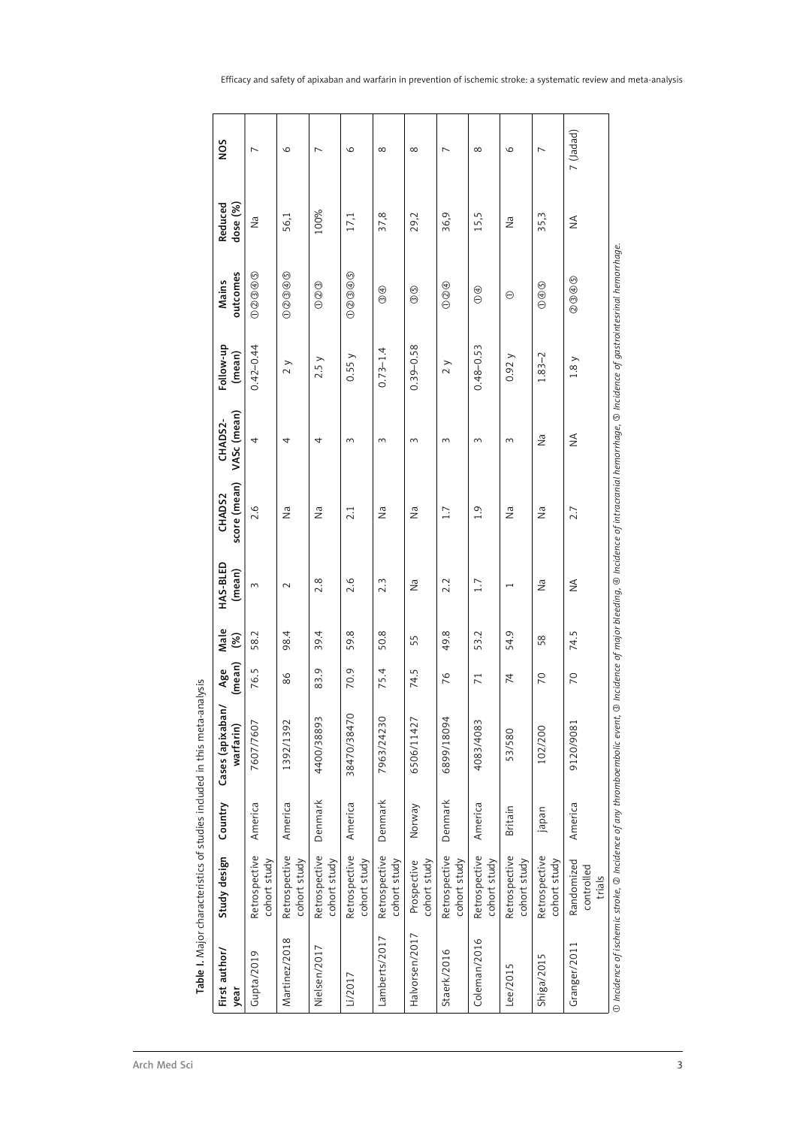| First author/<br>year | Study design                       | Country        | Cases (apixaban/<br>warfarin) | (mean)<br>Age   | Male<br>$\mathcal{S}$ | HAS-BLED<br>(mean)       | score (mean)<br>CHADS2 | VASc (mean)<br>CHADS2- | Follow-up<br>(mean)     | outcomes<br>Mains | Reduced<br>dose (%) |
|-----------------------|------------------------------------|----------------|-------------------------------|-----------------|-----------------------|--------------------------|------------------------|------------------------|-------------------------|-------------------|---------------------|
| Gupta/2019            | Retrospective<br>cohort study      | America        | 7607/7607                     | 76.5            | 58.2                  | 3                        | 2.6                    | 4                      | $0.42 - 0.44$           | 00000             | $\tilde{\Xi}$       |
| Martinez/2018         | Retrospective<br>cohort study      | America        | 1392/1392                     | 86              | 98.4                  | $\sim$                   | $\vec{z}$              | 4                      | 2 y                     | 00000             | 56,1                |
| Nielsen/2017          | Retrospective<br>cohort study      | Denmark        | 4400/38893                    | 83.9            | 39.4                  | 2.8                      | $\tilde{z}$            | 4                      | 2.5y                    | $\circledcirc$    | 100%                |
| Li/2017               | Retrospective<br>cohort study      | America        | 38470/38470                   | 70.9            | 59.8                  | 2.6                      | 2.1                    | $\sim$                 | 0.55y                   | 00000             | $17,1$              |
| Lamberts/2017         | Retrospective<br>cohort study      | Denmark        | 7963/24230                    | 75.4            | 50.8                  | 2.3                      | $\tilde{z}$            | 3                      | $0.73 - 1.4$            | $\circledcirc$    | 37,8                |
| Halvorsen/2017        | cohort study<br>Prospective        | Norway         | 6506/11427                    | 74.5            | 55                    | $\tilde{z}$              | $\tilde{z}$            | $\sim$                 | $0.39 - 0.58$           | $\circledcirc$    | 29,2                |
| Staerk/2016           | Retrospective<br>cohort study      | Denmark        | 6899/18094                    | 76              | 49.8                  | 2.2                      | 1.7                    | $\sim$                 | $\rightarrow$<br>$\sim$ | $\circledcirc$    | 36,9                |
| Coleman/2016          | Retrospective<br>cohort study      | America        | 4083/4083                     | $\overline{71}$ | 53.2                  | 1.7                      | 1.9                    | $\sim$                 | $0.48 - 0.53$           | $\bigoplus$       | 15,5                |
| Lee/2015              | Retrospective<br>cohort study      | <b>Britain</b> | 53/580                        | $\overline{7}$  | 54.9                  | $\overline{\phantom{0}}$ | $\tilde{z}$            | $\sim$                 | 0.92y                   | $\ominus$         | $\tilde{z}$         |
| Shiga/2015            | Retrospective<br>cohort study      | japan          | 102/200                       | $\overline{C}$  | 58                    | $\tilde{z}$              | $\tilde{z}$            | $\tilde{z}$            | $1.83 - 2$              | $\circledcirc$    | 35,3                |
| Granger/2011          | Randomized<br>controlled<br>trials | America        | 9120/9081                     | $\overline{C}$  | 74.5                  | $\frac{4}{2}$            | 2.7                    | $\leq$                 | 1.8y                    | $\circledcirc$    | $\leq$              |

٦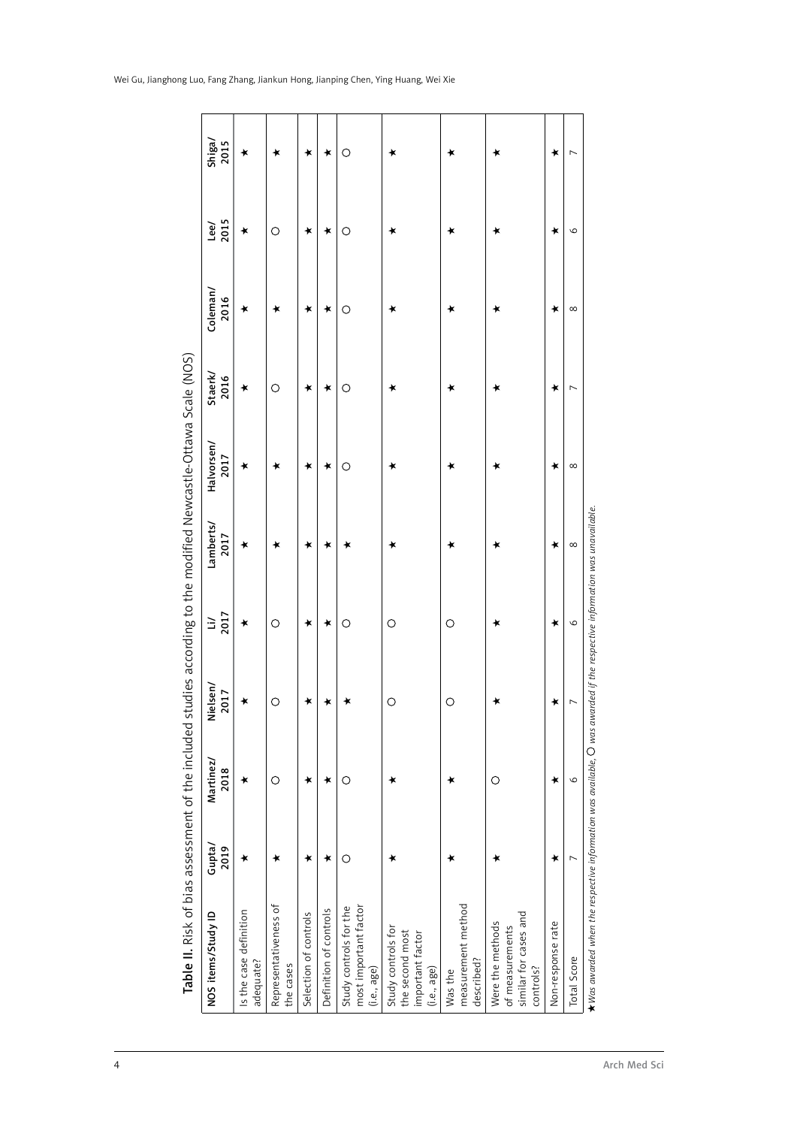|  |  | Wei Gu, Jianghong Luo, Fang Zhang, Jiankun Hong, Jianping Chen, Ying Huang, Wei Xie |  |  |  |  |
|--|--|-------------------------------------------------------------------------------------|--|--|--|--|
|  |  |                                                                                     |  |  |  |  |

| NOS items/Study ID                                                        | Gupta/<br>2019 | Martinez/<br>2018 | Nielsen/<br>2017 | $\frac{11}{2017}$ | Lamberts/<br>2017 | Halvorsen/<br>2017 | Staerk/<br>2016 | Coleman/<br>2016 | 2015<br>Lee/ | Shiga/<br>2015 |
|---------------------------------------------------------------------------|----------------|-------------------|------------------|-------------------|-------------------|--------------------|-----------------|------------------|--------------|----------------|
| Is the case definition<br>adequate?                                       | ∗              | $\star$           | $\star$          | $\star$           | ∗                 | $\star$            | $\star$         | $\star$          | ∗            |                |
| Representativeness of<br>the cases                                        | ∗              | $\circ$           | $\circ$          | $\circ$           | ∗                 | ∗                  | $\circ$         | ∗                | $\circ$      |                |
| Selection of controls                                                     | ∗              | ★                 | $\star$          | $\star$           | $\star$           | $\bigstar$         | $\star$         | $\star$          | $\star$      |                |
| Definition of controls                                                    | ∗              | ∗                 | ∗                | $\star$           | ∗                 | $\bigstar$         | ∗               | ∗                | ∗            |                |
| most important factor<br>Study controls for the<br>(i.e., age)            | $\circ$        | $\circ$           | ∗                | $\circ$           | ∗                 | $\circ$            | $\circ$         | $\circ$          | $\circ$      |                |
| Study controls for<br>the second most<br>important factor<br>(i.e., age)  | ∗              | ∗                 | $\circ$          | $\circ$           | ∗                 | ∗                  | $\star$         | ∗                | ∗            |                |
| measurement method<br>described?<br>Was the                               | ∗              | ∗                 | $\circ$          | $\circ$           | ∗                 | ∗                  | $\star$         | $\star$          | ∗            |                |
| similar for cases and<br>Were the methods<br>of measurements<br>controls? | ∗              | $\bigcirc$        | ∗                | ∗                 | ∗                 | ∗                  | ∗               | ∗                | ∗            |                |
| Non-response rate                                                         | ∗              | ∗                 | ★                | ∗                 | ∗                 | ∗                  | ∗               | ∗                | ∗            |                |
| <b>Total Score</b>                                                        | $\overline{ }$ | $\circ$           | $\overline{ }$   | $\circ$           | $\infty$          | ${}^{\infty}$      | $\overline{ }$  | ${}^{\infty}$    | $\circ$      |                |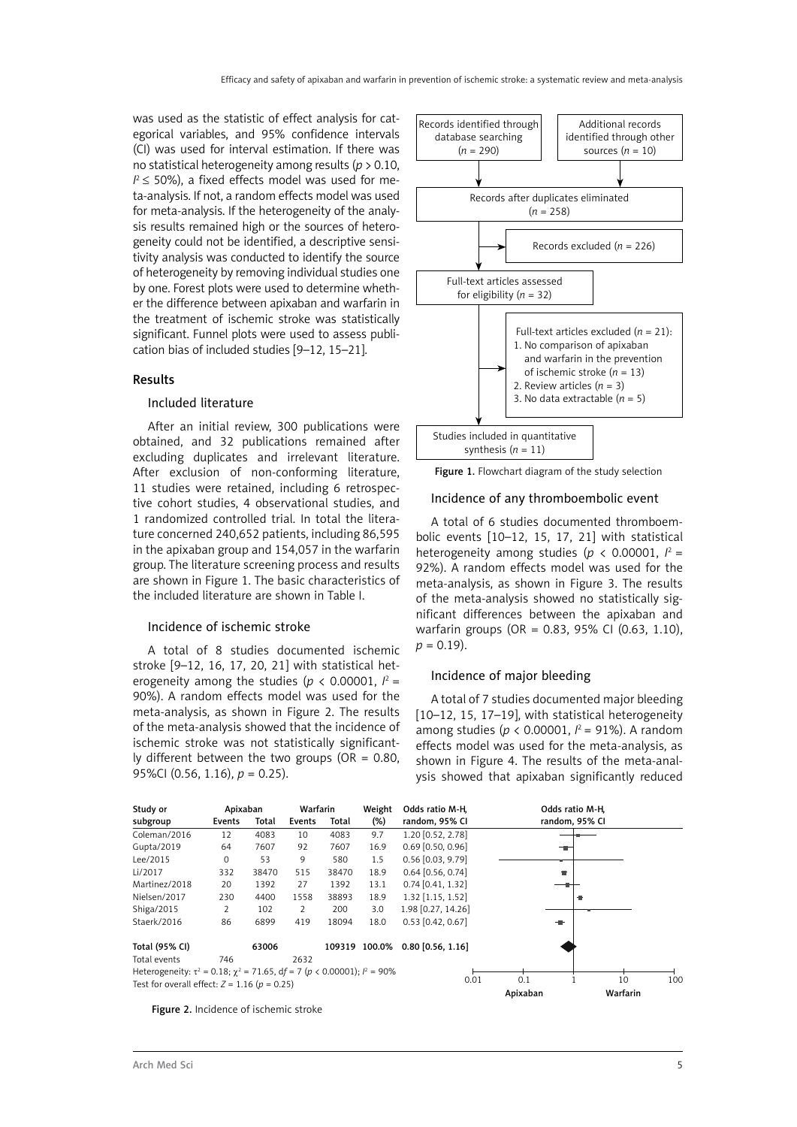was used as the statistic of effect analysis for categorical variables, and 95% confidence intervals (CI) was used for interval estimation. If there was no statistical heterogeneity among results (*p* > 0.10,  $I^2 \leq 50\%$ ), a fixed effects model was used for meta-analysis. If not, a random effects model was used for meta-analysis. If the heterogeneity of the analysis results remained high or the sources of heterogeneity could not be identified, a descriptive sensitivity analysis was conducted to identify the source of heterogeneity by removing individual studies one by one. Forest plots were used to determine whether the difference between apixaban and warfarin in the treatment of ischemic stroke was statistically significant. Funnel plots were used to assess publication bias of included studies [9–12, 15–21].

# Results

## Included literature

After an initial review, 300 publications were obtained, and 32 publications remained after excluding duplicates and irrelevant literature. After exclusion of non-conforming literature, 11 studies were retained, including 6 retrospective cohort studies, 4 observational studies, and 1 randomized controlled trial. In total the literature concerned 240,652 patients, including 86,595 in the apixaban group and 154,057 in the warfarin group. The literature screening process and results are shown in Figure 1. The basic characteristics of the included literature are shown in Table I.

### Incidence of ischemic stroke

A total of 8 studies documented ischemic stroke [9–12, 16, 17, 20, 21] with statistical heterogeneity among the studies ( $p < 0.00001$ ,  $l^2 =$ 90%). A random effects model was used for the meta-analysis, as shown in Figure 2. The results of the meta-analysis showed that the incidence of ischemic stroke was not statistically significantly different between the two groups (OR =  $0.80$ , 95%CI (0.56, 1.16), *p* = 0.25).



Figure 1. Flowchart diagram of the study selection

#### Incidence of any thromboembolic event

A total of 6 studies documented thromboembolic events [10–12, 15, 17, 21] with statistical heterogeneity among studies ( $p < 0.00001$ ,  $l^2 =$ 92%). A random effects model was used for the meta-analysis, as shown in Figure 3. The results of the meta-analysis showed no statistically significant differences between the apixaban and warfarin groups (OR = 0.83, 95% CI (0.63, 1.10),  $p = 0.19$ .

## Incidence of major bleeding

A total of 7 studies documented major bleeding [10–12, 15, 17–19], with statistical heterogeneity among studies (*p* < 0.00001, *I* 2 = 91%). A random effects model was used for the meta-analysis, as shown in Figure 4. The results of the meta-analysis showed that apixaban significantly reduced



Figure 2. Incidence of ischemic stroke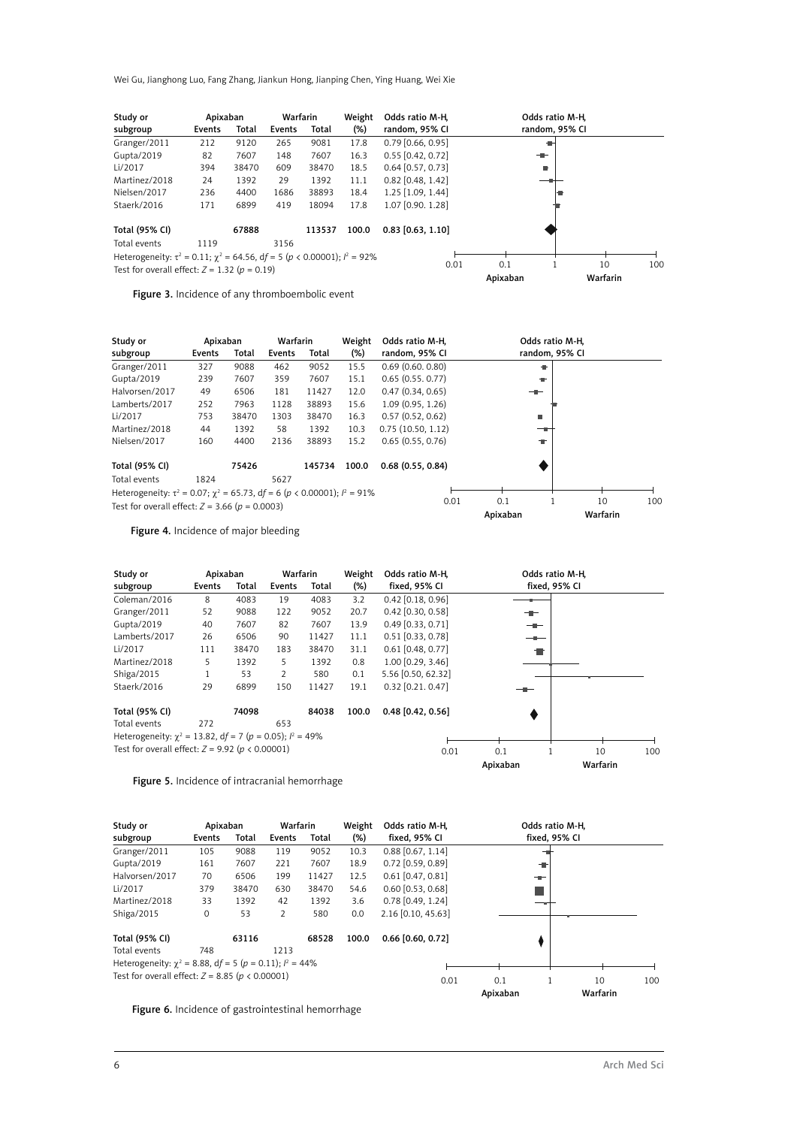Wei Gu, Jianghong Luo, Fang Zhang, Jiankun Hong, Jianping Chen, Ying Huang, Wei Xie

| Study or                                                                                     | Apixaban |       |        | Warfarin | Weight | Odds ratio M-H.     |                 | Odds ratio M-H. |     |
|----------------------------------------------------------------------------------------------|----------|-------|--------|----------|--------|---------------------|-----------------|-----------------|-----|
| subgroup                                                                                     | Events   | Total | Events | Total    | $(\%)$ | random, 95% CI      |                 | random, 95% CI  |     |
| Granger/2011                                                                                 | 212      | 9120  | 265    | 9081     | 17.8   | $0.79$ [0.66, 0.95] |                 |                 |     |
| Gupta/2019                                                                                   | 82       | 7607  | 148    | 7607     | 16.3   | $0.55$ [0.42, 0.72] | $-$             |                 |     |
| Li/2017                                                                                      | 394      | 38470 | 609    | 38470    | 18.5   | $0.64$ [0.57, 0.73] | ٠               |                 |     |
| Martinez/2018                                                                                | 24       | 1392  | 29     | 1392     | 11.1   | $0.82$ [0.48, 1.42] |                 |                 |     |
| Nielsen/2017                                                                                 | 236      | 4400  | 1686   | 38893    | 18.4   | 1.25 [1.09, 1.44]   |                 |                 |     |
| Staerk/2016                                                                                  | 171      | 6899  | 419    | 18094    | 17.8   | 1.07 [0.90. 1.28]   |                 |                 |     |
| Total (95% CI)                                                                               |          | 67888 |        | 113537   | 100.0  | $0.83$ [0.63, 1.10] |                 |                 |     |
| Total events                                                                                 | 1119     |       | 3156   |          |        |                     |                 |                 |     |
| Heterogeneity: $\tau^2 = 0.11$ ; $\chi^2 = 64.56$ , $df = 5$ ( $p < 0.00001$ ); $l^2 = 92\%$ |          |       |        |          |        |                     |                 |                 |     |
| Test for overall effect: $Z = 1.32$ ( $p = 0.19$ )                                           |          |       |        |          |        | 0.01                | 0.1<br>Apixaban | 10<br>Warfarin  | 100 |

Figure 3. Incidence of any thromboembolic event

| Study or                                                                            | Apixaban |       | Warfarin |        | Weight | Odds ratio M-H.     |          | Odds ratio M-H, |     |
|-------------------------------------------------------------------------------------|----------|-------|----------|--------|--------|---------------------|----------|-----------------|-----|
| subgroup                                                                            | Events   | Total | Events   | Total  | $(\%)$ | random, 95% CI      |          | random, 95% CI  |     |
| Granger/2011                                                                        | 327      | 9088  | 462      | 9052   | 15.5   | 0.69(0.60, 0.80)    | ÷        |                 |     |
| Gupta/2019                                                                          | 239      | 7607  | 359      | 7607   | 15.1   | 0.65(0.55, 0.77)    | ٠        |                 |     |
| Halvorsen/2017                                                                      | 49       | 6506  | 181      | 11427  | 12.0   | 0.47(0.34, 0.65)    | ╼        |                 |     |
| Lamberts/2017                                                                       | 252      | 7963  | 1128     | 38893  | 15.6   | 1.09 (0.95, 1.26)   |          |                 |     |
| Li/2017                                                                             | 753      | 38470 | 1303     | 38470  | 16.3   | 0.57(0.52, 0.62)    | ٠        |                 |     |
| Martinez/2018                                                                       | 44       | 1392  | 58       | 1392   | 10.3   | 0.75(10.50, 1.12)   |          |                 |     |
| Nielsen/2017                                                                        | 160      | 4400  | 2136     | 38893  | 15.2   | 0.65(0.55, 0.76)    | ÷        |                 |     |
| Total (95% CI)                                                                      |          | 75426 |          | 145734 | 100.0  | $0.68$ (0.55, 0.84) |          |                 |     |
| Total events                                                                        | 1824     |       | 5627     |        |        |                     |          |                 |     |
| Heterogeneity: $\tau^2$ = 0.07; $\chi^2$ = 65.73, df = 6 (p < 0.00001); $l^2$ = 91% |          |       |          |        |        |                     |          |                 |     |
| Test for overall effect: $Z = 3.66$ ( $p = 0.0003$ )                                |          |       |          |        |        | 0.01                | 0.1      | 10              | 100 |
|                                                                                     |          |       |          |        |        |                     | Apixaban | Warfarin        |     |

Figure 4. Incidence of major bleeding

| Study or                                                        | Apixaban |       | Warfarin       |       | Weight | Odds ratio M-H.     | Odds ratio M-H, |          |     |
|-----------------------------------------------------------------|----------|-------|----------------|-------|--------|---------------------|-----------------|----------|-----|
| subgroup                                                        | Events   | Total | Events         | Total | $(\%)$ | fixed, 95% CI       | fixed, 95% CI   |          |     |
| Coleman/2016                                                    | 8        | 4083  | 19             | 4083  | 3.2    | $0.42$ [0.18, 0.96] |                 |          |     |
| Granger/2011                                                    | 52       | 9088  | 122            | 9052  | 20.7   | $0.42$ [0.30, 0.58] | ╼               |          |     |
| Gupta/2019                                                      | 40       | 7607  | 82             | 7607  | 13.9   | $0.49$ [0.33, 0.71] | --              |          |     |
| Lamberts/2017                                                   | 26       | 6506  | 90             | 11427 | 11.1   | $0.51$ [0.33, 0.78] |                 |          |     |
| Li/2017                                                         | 111      | 38470 | 183            | 38470 | 31.1   | $0.61$ [0.48, 0.77] |                 |          |     |
| Martinez/2018                                                   | 5        | 1392  | 5              | 1392  | 0.8    | 1.00 [0.29, 3.46]   |                 |          |     |
| Shiga/2015                                                      |          | 53    | $\overline{2}$ | 580   | 0.1    | 5.56 [0.50, 62.32]  |                 |          |     |
| Staerk/2016                                                     | 29       | 6899  | 150            | 11427 | 19.1   | $0.32$ [0.21, 0.47] | --              |          |     |
| <b>Total (95% CI)</b>                                           |          | 74098 |                | 84038 | 100.0  | $0.48$ [0.42, 0.56] |                 |          |     |
| Total events                                                    | 272      |       | 653            |       |        |                     |                 |          |     |
| Heterogeneity: $\chi^2$ = 13.82, df = 7 (p = 0.05); $l^2$ = 49% |          |       |                |       |        |                     |                 |          |     |
| Test for overall effect: $Z = 9.92$ ( $p < 0.00001$ )           |          |       |                |       |        | 0.01                | 0.1             | 10       | 100 |
|                                                                 |          |       |                |       |        |                     | Apixaban        | Warfarin |     |

Figure 5. Incidence of intracranial hemorrhage

| Study or<br>subgroup                                           | Apixaban<br>Events | Total | Warfarin<br>Events | Total | Weight<br>$(\%)$ | Odds ratio M-H.<br>fixed, 95% CI |          | Odds ratio M-H.<br>fixed, 95% CI |     |
|----------------------------------------------------------------|--------------------|-------|--------------------|-------|------------------|----------------------------------|----------|----------------------------------|-----|
|                                                                |                    |       |                    |       |                  |                                  |          |                                  |     |
| Granger/2011                                                   | 105                | 9088  | 119                | 9052  | 10.3             | $0.88$ [0.67, 1.14]              |          |                                  |     |
| Gupta/2019                                                     | 161                | 7607  | 221                | 7607  | 18.9             | $0.72$ [0.59, 0.89]              | ÷        |                                  |     |
| Halvorsen/2017                                                 | 70                 | 6506  | 199                | 11427 | 12.5             | $0.61$ [0.47, 0.81]              | ÷        |                                  |     |
| Li/2017                                                        | 379                | 38470 | 630                | 38470 | 54.6             | $0.60$ [0.53, 0.68]              |          |                                  |     |
| Martinez/2018                                                  | 33                 | 1392  | 42                 | 1392  | 3.6              | $0.78$ [0.49, 1.24]              |          |                                  |     |
| Shiga/2015                                                     | $\mathbf 0$        | 53    | 2                  | 580   | 0.0              | 2.16 [0.10, 45.63]               |          |                                  |     |
| Total (95% CI)                                                 |                    | 63116 |                    | 68528 | 100.0            | $0.66$ [0.60, 0.72]              |          |                                  |     |
| Total events                                                   | 748                |       | 1213               |       |                  |                                  |          |                                  |     |
| Heterogeneity: $\chi^2$ = 8.88, df = 5 (p = 0.11); $l^2$ = 44% |                    |       |                    |       |                  |                                  |          |                                  |     |
| Test for overall effect: $Z = 8.85$ ( $p < 0.00001$ )          |                    |       |                    |       |                  | 0.01                             | 0.1      | 10                               | 100 |
|                                                                |                    |       |                    |       |                  |                                  | Apixaban | Warfarin                         |     |

Figure 6. Incidence of gastrointestinal hemorrhage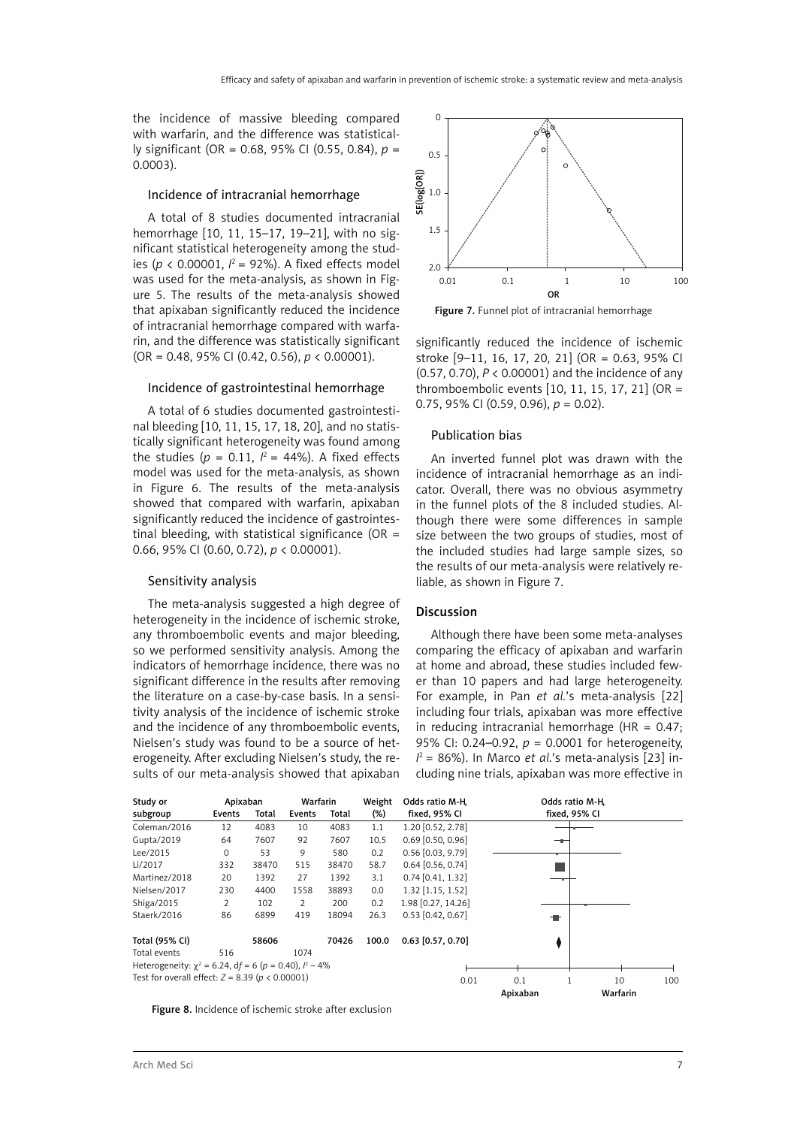the incidence of massive bleeding compared with warfarin, and the difference was statistically significant (OR = 0.68, 95% CI (0.55, 0.84), *p* = 0.0003).

#### Incidence of intracranial hemorrhage

A total of 8 studies documented intracranial hemorrhage [10, 11, 15–17, 19–21], with no significant statistical heterogeneity among the studies ( $p < 0.00001$ ,  $l^2 = 92\%$ ). A fixed effects model was used for the meta-analysis, as shown in Figure 5. The results of the meta-analysis showed that apixaban significantly reduced the incidence of intracranial hemorrhage compared with warfarin, and the difference was statistically significant (OR = 0.48, 95% CI (0.42, 0.56), *p* < 0.00001).

#### Incidence of gastrointestinal hemorrhage

A total of 6 studies documented gastrointestinal bleeding [10, 11, 15, 17, 18, 20], and no statistically significant heterogeneity was found among the studies ( $p = 0.11$ ,  $l^2 = 44\%$ ). A fixed effects model was used for the meta-analysis, as shown in Figure 6. The results of the meta-analysis showed that compared with warfarin, apixaban significantly reduced the incidence of gastrointestinal bleeding, with statistical significance (OR  $=$ 0.66, 95% CI (0.60, 0.72), *p* < 0.00001).

### Sensitivity analysis

The meta-analysis suggested a high degree of heterogeneity in the incidence of ischemic stroke, any thromboembolic events and major bleeding, so we performed sensitivity analysis. Among the indicators of hemorrhage incidence, there was no significant difference in the results after removing the literature on a case-by-case basis. In a sensitivity analysis of the incidence of ischemic stroke and the incidence of any thromboembolic events, Nielsen's study was found to be a source of heterogeneity. After excluding Nielsen's study, the results of our meta-analysis showed that apixaban



Figure 7. Funnel plot of intracranial hemorrhage

significantly reduced the incidence of ischemic stroke [9–11, 16, 17, 20, 21] (OR = 0.63, 95% CI (0.57, 0.70), *P* < 0.00001) and the incidence of any thromboembolic events [10, 11, 15, 17, 21] (OR = 0.75, 95% CI (0.59, 0.96), *p* = 0.02).

#### Publication bias

An inverted funnel plot was drawn with the incidence of intracranial hemorrhage as an indicator. Overall, there was no obvious asymmetry in the funnel plots of the 8 included studies. Although there were some differences in sample size between the two groups of studies, most of the included studies had large sample sizes, so the results of our meta-analysis were relatively reliable, as shown in Figure 7.

#### Discussion

Although there have been some meta-analyses comparing the efficacy of apixaban and warfarin at home and abroad, these studies included fewer than 10 papers and had large heterogeneity. For example, in Pan *et al.*'s meta-analysis [22] including four trials, apixaban was more effective in reducing intracranial hemorrhage (HR =  $0.47$ ; 95% CI: 0.24–0.92, *p* = 0.0001 for heterogeneity, *I* 2 = 86%). In Marco *et al*.'s meta-analysis [23] including nine trials, apixaban was more effective in



Figure 8. Incidence of ischemic stroke after exclusion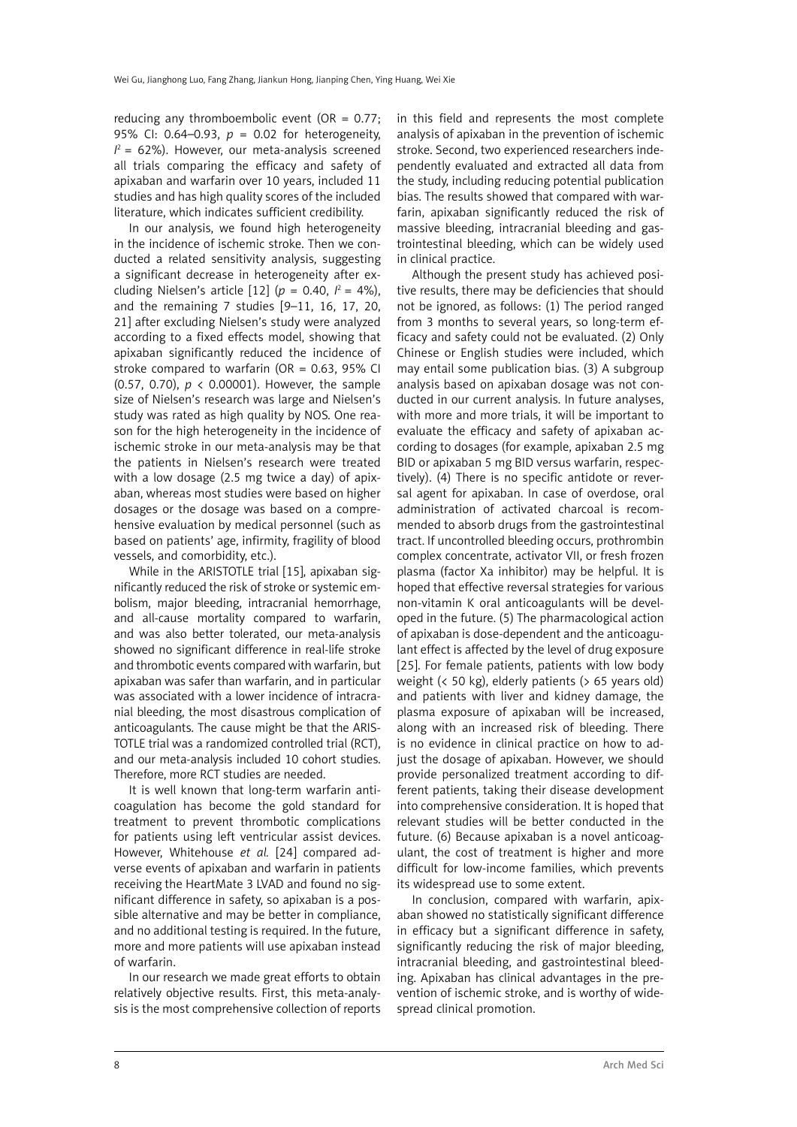reducing any thromboembolic event (OR =  $0.77$ ; 95% CI: 0.64–0.93, *p* = 0.02 for heterogeneity,  $I^2$  = 62%). However, our meta-analysis screened all trials comparing the efficacy and safety of apixaban and warfarin over 10 years, included 11 studies and has high quality scores of the included literature, which indicates sufficient credibility.

In our analysis, we found high heterogeneity in the incidence of ischemic stroke. Then we conducted a related sensitivity analysis, suggesting a significant decrease in heterogeneity after excluding Nielsen's article  $[12]$  ( $p = 0.40$ ,  $l^2 = 4\%$ ), and the remaining 7 studies [9–11, 16, 17, 20, 21] after excluding Nielsen's study were analyzed according to a fixed effects model, showing that apixaban significantly reduced the incidence of stroke compared to warfarin (OR =  $0.63$ , 95% CI (0.57, 0.70), *p* < 0.00001). However, the sample size of Nielsen's research was large and Nielsen's study was rated as high quality by NOS. One reason for the high heterogeneity in the incidence of ischemic stroke in our meta-analysis may be that the patients in Nielsen's research were treated with a low dosage (2.5 mg twice a day) of apixaban, whereas most studies were based on higher dosages or the dosage was based on a comprehensive evaluation by medical personnel (such as based on patients' age, infirmity, fragility of blood vessels, and comorbidity, etc.).

While in the ARISTOTLE trial [15], apixaban significantly reduced the risk of stroke or systemic embolism, major bleeding, intracranial hemorrhage, and all-cause mortality compared to warfarin, and was also better tolerated, our meta-analysis showed no significant difference in real-life stroke and thrombotic events compared with warfarin, but apixaban was safer than warfarin, and in particular was associated with a lower incidence of intracranial bleeding, the most [disastrous](file:///D:/Prace/AMS%20manuscript%20accepted_roboczy/javascript:;) complication of anticoagulants. The cause might be that the ARIS-TOTLE trial was a randomized controlled trial (RCT), and our meta-analysis included 10 cohort studies. Therefore, more RCT studies are needed.

It is well known that long-term warfarin anticoagulation has become the gold standard for treatment to prevent thrombotic complications for patients using left ventricular assist devices. However, Whitehouse *et al.* [24] compared adverse events of apixaban and warfarin in patients receiving the HeartMate 3 LVAD and found no significant difference in safety, so apixaban is a possible alternative and may be better in compliance, and no additional testing is required. In the future, more and more patients will use apixaban instead of warfarin.

In our research we made great efforts to obtain relatively objective results. First, this meta-analysis is the most comprehensive collection of reports in this field and represents the most complete analysis of apixaban in the prevention of ischemic stroke. Second, two experienced researchers independently evaluated and extracted all data from the study, including reducing potential publication bias. The results showed that compared with warfarin, apixaban significantly reduced the risk of massive bleeding, intracranial bleeding and gastrointestinal bleeding, which can be widely used in clinical practice.

Although the present study has achieved positive results, there may be deficiencies that should not be ignored, as follows: (1) The period ranged from 3 months to several years, so long-term efficacy and safety could not be evaluated. (2) Only Chinese or English studies were included, which may entail some publication bias. (3) A subgroup analysis based on apixaban dosage was not conducted in our current analysis. In future analyses, with more and more trials, it will be important to evaluate the efficacy and safety of apixaban according to dosages (for example, apixaban 2.5 mg BID or apixaban 5 mg BID versus warfarin, respectively). (4) There is no specific antidote or reversal agent for apixaban. In case of overdose, oral administration of activated charcoal is recommended to absorb drugs from the gastrointestinal tract. If uncontrolled bleeding occurs, prothrombin complex concentrate, activator VII, or fresh frozen plasma (factor Xa inhibitor) may be helpful. It is hoped that effective reversal strategies for various non-vitamin K oral anticoagulants will be developed in the future. (5) The pharmacological action of apixaban is dose-dependent and the anticoagulant effect is affected by the level of drug exposure [25]. For female patients, patients with low body weight (< 50 kg), elderly patients (> 65 years old) and patients with liver and kidney damage, the plasma exposure of apixaban will be increased, along with an increased risk of bleeding. There is no evidence in clinical practice on how to adjust the dosage of apixaban. However, we should provide personalized treatment according to different patients, taking their disease development into comprehensive consideration. It is hoped that relevant studies will be better conducted in the future. (6) Because apixaban is a novel anticoagulant, the cost of treatment is higher and more difficult for low-income families, which prevents its widespread use to some extent.

In conclusion, compared with warfarin, apixaban showed no statistically significant difference in efficacy but a significant difference in safety, significantly reducing the risk of major bleeding, intracranial bleeding, and gastrointestinal bleeding. Apixaban has clinical advantages in the prevention of ischemic stroke, and is worthy of widespread clinical promotion.